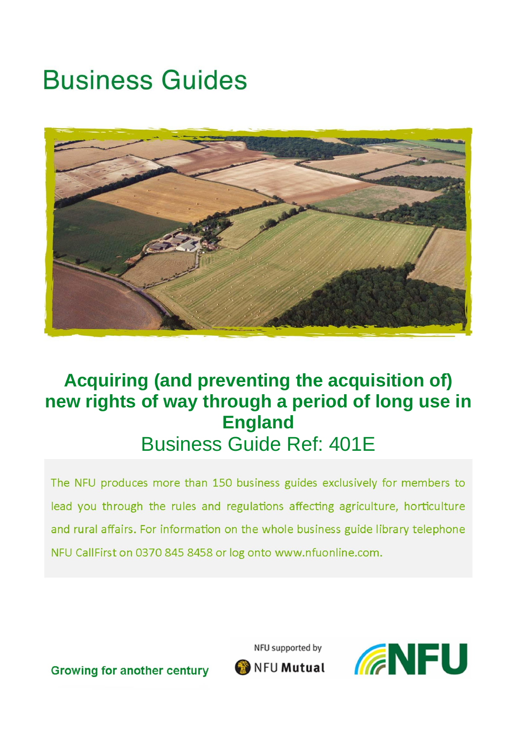# **Business Guides**



# **Acquiring (and preventing the acquisition of) new rights of way through a period of long use in England** Business Guide Ref: 401E

The NFU produces more than 150 business guides exclusively for members to lead you through the rules and regulations affecting agriculture, horticulture and rural affairs. For information on the whole business guide library telephone NFU CallFirst on 0370 845 8458 or log onto www.nfuonline.com.

NFU supported by



**Growing for another century** 

NFU Mutual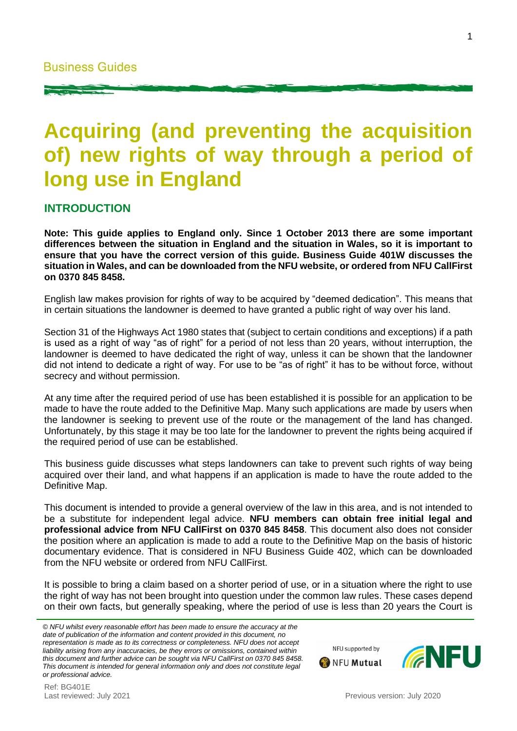# **Acquiring (and preventing the acquisition of) new rights of way through a period of long use in England**

#### **INTRODUCTION**

**Note: This guide applies to England only. Since 1 October 2013 there are some important differences between the situation in England and the situation in Wales, so it is important to ensure that you have the correct version of this guide. Business Guide 401W discusses the situation in Wales, and can be downloaded from the NFU website, or ordered from NFU CallFirst on 0370 845 8458.**

English law makes provision for rights of way to be acquired by "deemed dedication". This means that in certain situations the landowner is deemed to have granted a public right of way over his land.

Section 31 of the Highways Act 1980 states that (subject to certain conditions and exceptions) if a path is used as a right of way "as of right" for a period of not less than 20 years, without interruption, the landowner is deemed to have dedicated the right of way, unless it can be shown that the landowner did not intend to dedicate a right of way. For use to be "as of right" it has to be without force, without secrecy and without permission.

At any time after the required period of use has been established it is possible for an application to be made to have the route added to the Definitive Map. Many such applications are made by users when the landowner is seeking to prevent use of the route or the management of the land has changed. Unfortunately, by this stage it may be too late for the landowner to prevent the rights being acquired if the required period of use can be established.

This business guide discusses what steps landowners can take to prevent such rights of way being acquired over their land, and what happens if an application is made to have the route added to the Definitive Map.

This document is intended to provide a general overview of the law in this area, and is not intended to be a substitute for independent legal advice. **NFU members can obtain free initial legal and professional advice from NFU CallFirst on 0370 845 8458**. This document also does not consider the position where an application is made to add a route to the Definitive Map on the basis of historic documentary evidence. That is considered in NFU Business Guide 402, which can be downloaded from the NFU website or ordered from NFU CallFirst.

It is possible to bring a claim based on a shorter period of use, or in a situation where the right to use the right of way has not been brought into question under the common law rules. These cases depend on their own facts, but generally speaking, where the period of use is less than 20 years the Court is

*© NFU whilst every reasonable effort has been made to ensure the accuracy at the date of publication of the information and content provided in this document, no representation is made as to its correctness or completeness. NFU does not accept liability arising from any inaccuracies, be they errors or omissions, contained within this document and further advice can be sought via NFU CallFirst on 0370 845 8458. This document is intended for general information only and does not constitute legal or professional advice.*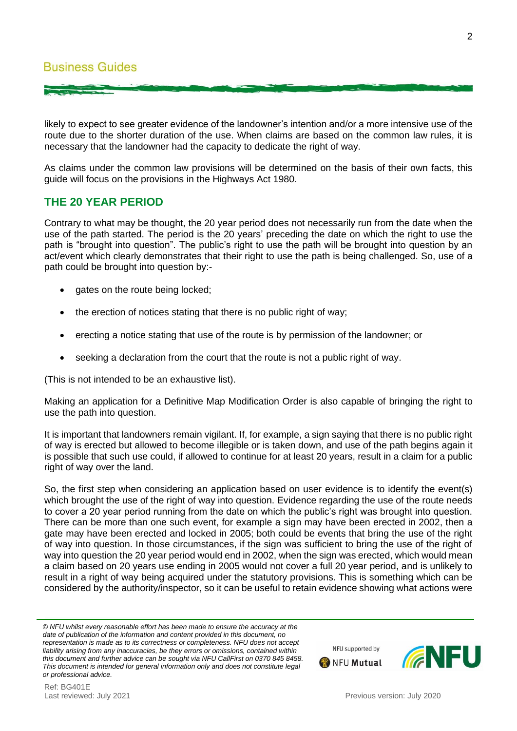likely to expect to see greater evidence of the landowner's intention and/or a more intensive use of the route due to the shorter duration of the use. When claims are based on the common law rules, it is necessary that the landowner had the capacity to dedicate the right of way.

As claims under the common law provisions will be determined on the basis of their own facts, this guide will focus on the provisions in the Highways Act 1980.

# **THE 20 YEAR PERIOD**

Contrary to what may be thought, the 20 year period does not necessarily run from the date when the use of the path started. The period is the 20 years' preceding the date on which the right to use the path is "brought into question". The public's right to use the path will be brought into question by an act/event which clearly demonstrates that their right to use the path is being challenged. So, use of a path could be brought into question by:-

- gates on the route being locked;
- the erection of notices stating that there is no public right of way;
- erecting a notice stating that use of the route is by permission of the landowner; or
- seeking a declaration from the court that the route is not a public right of way.

(This is not intended to be an exhaustive list).

Making an application for a Definitive Map Modification Order is also capable of bringing the right to use the path into question.

It is important that landowners remain vigilant. If, for example, a sign saying that there is no public right of way is erected but allowed to become illegible or is taken down, and use of the path begins again it is possible that such use could, if allowed to continue for at least 20 years, result in a claim for a public right of way over the land.

So, the first step when considering an application based on user evidence is to identify the event(s) which brought the use of the right of way into question. Evidence regarding the use of the route needs to cover a 20 year period running from the date on which the public's right was brought into question. There can be more than one such event, for example a sign may have been erected in 2002, then a gate may have been erected and locked in 2005; both could be events that bring the use of the right of way into question. In those circumstances, if the sign was sufficient to bring the use of the right of way into question the 20 year period would end in 2002, when the sign was erected, which would mean a claim based on 20 years use ending in 2005 would not cover a full 20 year period, and is unlikely to result in a right of way being acquired under the statutory provisions. This is something which can be considered by the authority/inspector, so it can be useful to retain evidence showing what actions were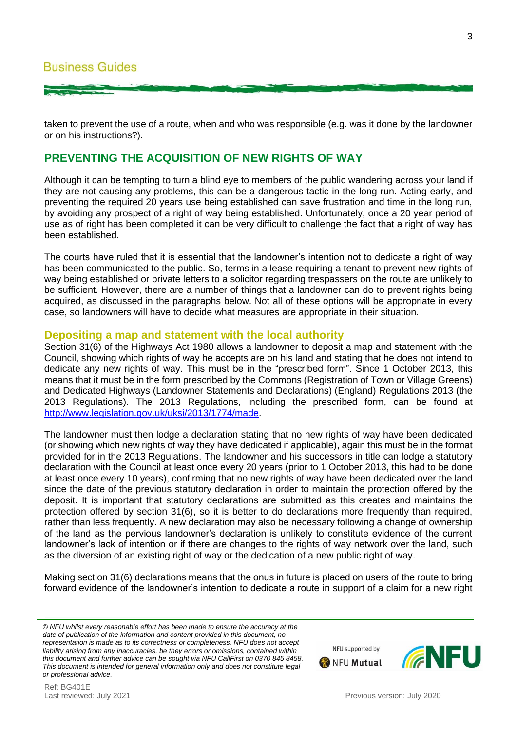taken to prevent the use of a route, when and who was responsible (e.g. was it done by the landowner or on his instructions?).

### **PREVENTING THE ACQUISITION OF NEW RIGHTS OF WAY**

Although it can be tempting to turn a blind eye to members of the public wandering across your land if they are not causing any problems, this can be a dangerous tactic in the long run. Acting early, and preventing the required 20 years use being established can save frustration and time in the long run, by avoiding any prospect of a right of way being established. Unfortunately, once a 20 year period of use as of right has been completed it can be very difficult to challenge the fact that a right of way has been established.

The courts have ruled that it is essential that the landowner's intention not to dedicate a right of way has been communicated to the public. So, terms in a lease requiring a tenant to prevent new rights of way being established or private letters to a solicitor regarding trespassers on the route are unlikely to be sufficient. However, there are a number of things that a landowner can do to prevent rights being acquired, as discussed in the paragraphs below. Not all of these options will be appropriate in every case, so landowners will have to decide what measures are appropriate in their situation.

#### **Depositing a map and statement with the local authority**

Section 31(6) of the Highways Act 1980 allows a landowner to deposit a map and statement with the Council, showing which rights of way he accepts are on his land and stating that he does not intend to dedicate any new rights of way. This must be in the "prescribed form". Since 1 October 2013, this means that it must be in the form prescribed by the Commons (Registration of Town or Village Greens) and Dedicated Highways (Landowner Statements and Declarations) (England) Regulations 2013 (the 2013 Regulations). The 2013 Regulations, including the prescribed form, can be found at [http://www.legislation.gov.uk/uksi/2013/1774/made.](http://www.legislation.gov.uk/uksi/2013/1774/made)

The landowner must then lodge a declaration stating that no new rights of way have been dedicated (or showing which new rights of way they have dedicated if applicable), again this must be in the format provided for in the 2013 Regulations. The landowner and his successors in title can lodge a statutory declaration with the Council at least once every 20 years (prior to 1 October 2013, this had to be done at least once every 10 years), confirming that no new rights of way have been dedicated over the land since the date of the previous statutory declaration in order to maintain the protection offered by the deposit. It is important that statutory declarations are submitted as this creates and maintains the protection offered by section 31(6), so it is better to do declarations more frequently than required, rather than less frequently. A new declaration may also be necessary following a change of ownership of the land as the pervious landowner's declaration is unlikely to constitute evidence of the current landowner's lack of intention or if there are changes to the rights of way network over the land, such as the diversion of an existing right of way or the dedication of a new public right of way.

Making section 31(6) declarations means that the onus in future is placed on users of the route to bring forward evidence of the landowner's intention to dedicate a route in support of a claim for a new right

NFU supported by

**WANFU Mutual**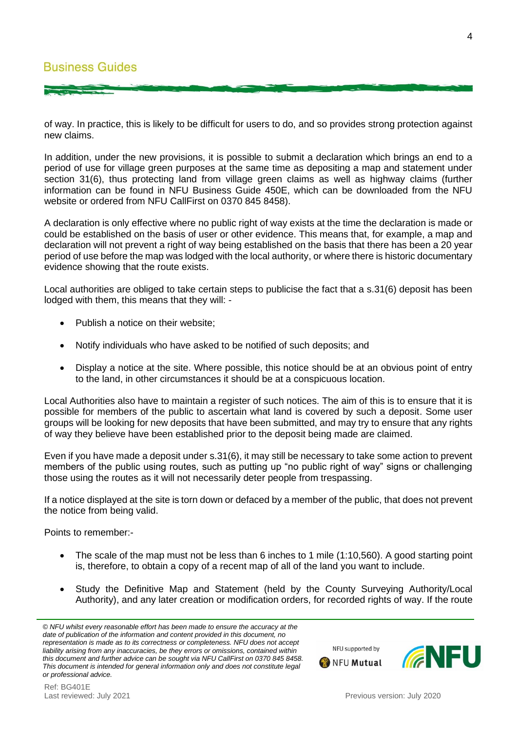of way. In practice, this is likely to be difficult for users to do, and so provides strong protection against new claims.

In addition, under the new provisions, it is possible to submit a declaration which brings an end to a period of use for village green purposes at the same time as depositing a map and statement under section 31(6), thus protecting land from village green claims as well as highway claims (further information can be found in NFU Business Guide 450E, which can be downloaded from the NFU website or ordered from NFU CallFirst on 0370 845 8458).

A declaration is only effective where no public right of way exists at the time the declaration is made or could be established on the basis of user or other evidence. This means that, for example, a map and declaration will not prevent a right of way being established on the basis that there has been a 20 year period of use before the map was lodged with the local authority, or where there is historic documentary evidence showing that the route exists.

Local authorities are obliged to take certain steps to publicise the fact that a s.31(6) deposit has been lodged with them, this means that they will: -

- Publish a notice on their website;
- Notify individuals who have asked to be notified of such deposits; and
- Display a notice at the site. Where possible, this notice should be at an obvious point of entry to the land, in other circumstances it should be at a conspicuous location.

Local Authorities also have to maintain a register of such notices. The aim of this is to ensure that it is possible for members of the public to ascertain what land is covered by such a deposit. Some user groups will be looking for new deposits that have been submitted, and may try to ensure that any rights of way they believe have been established prior to the deposit being made are claimed.

Even if you have made a deposit under s.31(6), it may still be necessary to take some action to prevent members of the public using routes, such as putting up "no public right of way" signs or challenging those using the routes as it will not necessarily deter people from trespassing.

If a notice displayed at the site is torn down or defaced by a member of the public, that does not prevent the notice from being valid.

Points to remember:-

- The scale of the map must not be less than 6 inches to 1 mile (1:10,560). A good starting point is, therefore, to obtain a copy of a recent map of all of the land you want to include.
- Study the Definitive Map and Statement (held by the County Surveying Authority/Local Authority), and any later creation or modification orders, for recorded rights of way. If the route

*<sup>©</sup> NFU whilst every reasonable effort has been made to ensure the accuracy at the date of publication of the information and content provided in this document, no representation is made as to its correctness or completeness. NFU does not accept liability arising from any inaccuracies, be they errors or omissions, contained within this document and further advice can be sought via NFU CallFirst on 0370 845 8458. This document is intended for general information only and does not constitute legal or professional advice.*



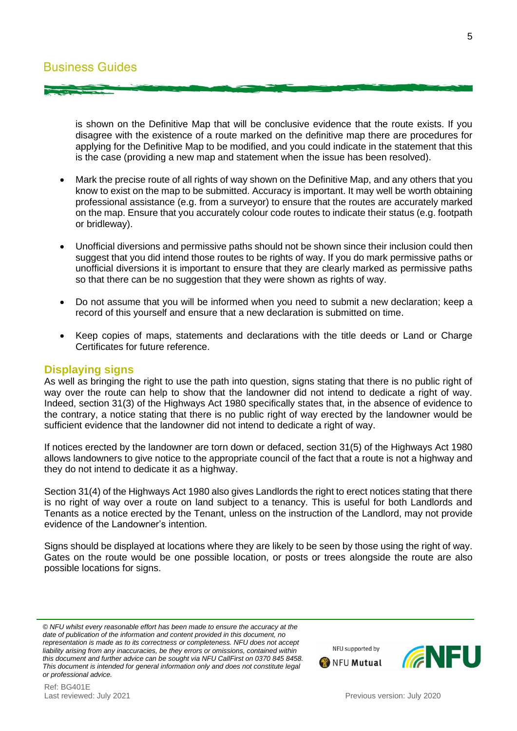is shown on the Definitive Map that will be conclusive evidence that the route exists. If you disagree with the existence of a route marked on the definitive map there are procedures for applying for the Definitive Map to be modified, and you could indicate in the statement that this is the case (providing a new map and statement when the issue has been resolved).

- Mark the precise route of all rights of way shown on the Definitive Map, and any others that you know to exist on the map to be submitted. Accuracy is important. It may well be worth obtaining professional assistance (e.g. from a surveyor) to ensure that the routes are accurately marked on the map. Ensure that you accurately colour code routes to indicate their status (e.g. footpath or bridleway).
- Unofficial diversions and permissive paths should not be shown since their inclusion could then suggest that you did intend those routes to be rights of way. If you do mark permissive paths or unofficial diversions it is important to ensure that they are clearly marked as permissive paths so that there can be no suggestion that they were shown as rights of way.
- Do not assume that you will be informed when you need to submit a new declaration; keep a record of this yourself and ensure that a new declaration is submitted on time.
- Keep copies of maps, statements and declarations with the title deeds or Land or Charge Certificates for future reference.

#### **Displaying signs**

As well as bringing the right to use the path into question, signs stating that there is no public right of way over the route can help to show that the landowner did not intend to dedicate a right of way. Indeed, section 31(3) of the Highways Act 1980 specifically states that, in the absence of evidence to the contrary, a notice stating that there is no public right of way erected by the landowner would be sufficient evidence that the landowner did not intend to dedicate a right of way.

If notices erected by the landowner are torn down or defaced, section 31(5) of the Highways Act 1980 allows landowners to give notice to the appropriate council of the fact that a route is not a highway and they do not intend to dedicate it as a highway.

Section 31(4) of the Highways Act 1980 also gives Landlords the right to erect notices stating that there is no right of way over a route on land subject to a tenancy. This is useful for both Landlords and Tenants as a notice erected by the Tenant, unless on the instruction of the Landlord, may not provide evidence of the Landowner's intention.

Signs should be displayed at locations where they are likely to be seen by those using the right of way. Gates on the route would be one possible location, or posts or trees alongside the route are also possible locations for signs.

*© NFU whilst every reasonable effort has been made to ensure the accuracy at the date of publication of the information and content provided in this document, no representation is made as to its correctness or completeness. NFU does not accept liability arising from any inaccuracies, be they errors or omissions, contained within this document and further advice can be sought via NFU CallFirst on 0370 845 8458. This document is intended for general information only and does not constitute legal or professional advice.*

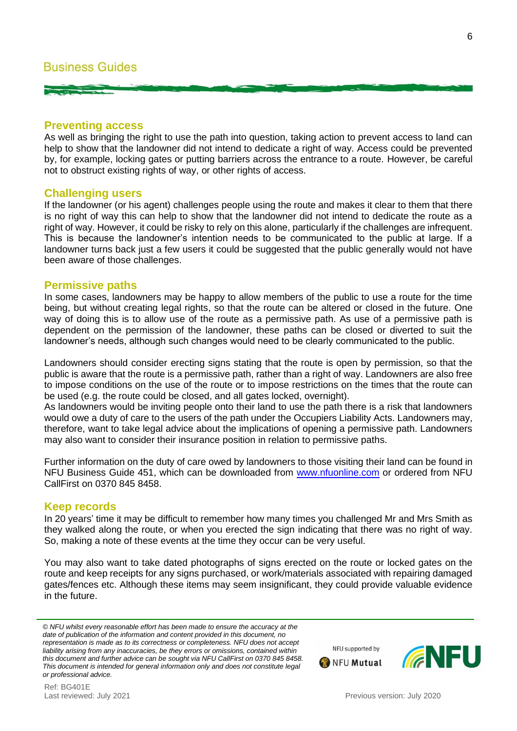#### **Preventing access**

As well as bringing the right to use the path into question, taking action to prevent access to land can help to show that the landowner did not intend to dedicate a right of way. Access could be prevented by, for example, locking gates or putting barriers across the entrance to a route. However, be careful not to obstruct existing rights of way, or other rights of access.

#### **Challenging users**

If the landowner (or his agent) challenges people using the route and makes it clear to them that there is no right of way this can help to show that the landowner did not intend to dedicate the route as a right of way. However, it could be risky to rely on this alone, particularly if the challenges are infrequent. This is because the landowner's intention needs to be communicated to the public at large. If a landowner turns back just a few users it could be suggested that the public generally would not have been aware of those challenges.

#### **Permissive paths**

In some cases, landowners may be happy to allow members of the public to use a route for the time being, but without creating legal rights, so that the route can be altered or closed in the future. One way of doing this is to allow use of the route as a permissive path. As use of a permissive path is dependent on the permission of the landowner, these paths can be closed or diverted to suit the landowner's needs, although such changes would need to be clearly communicated to the public.

Landowners should consider erecting signs stating that the route is open by permission, so that the public is aware that the route is a permissive path, rather than a right of way. Landowners are also free to impose conditions on the use of the route or to impose restrictions on the times that the route can be used (e.g. the route could be closed, and all gates locked, overnight).

As landowners would be inviting people onto their land to use the path there is a risk that landowners would owe a duty of care to the users of the path under the Occupiers Liability Acts. Landowners may, therefore, want to take legal advice about the implications of opening a permissive path. Landowners may also want to consider their insurance position in relation to permissive paths.

Further information on the duty of care owed by landowners to those visiting their land can be found in NFU Business Guide 451, which can be downloaded from [www.nfuonline.com](http://www.nfuonline.com/) or ordered from NFU CallFirst on 0370 845 8458.

#### **Keep records**

In 20 years' time it may be difficult to remember how many times you challenged Mr and Mrs Smith as they walked along the route, or when you erected the sign indicating that there was no right of way. So, making a note of these events at the time they occur can be very useful.

You may also want to take dated photographs of signs erected on the route or locked gates on the route and keep receipts for any signs purchased, or work/materials associated with repairing damaged gates/fences etc. Although these items may seem insignificant, they could provide valuable evidence in the future.



*<sup>©</sup> NFU whilst every reasonable effort has been made to ensure the accuracy at the date of publication of the information and content provided in this document, no representation is made as to its correctness or completeness. NFU does not accept liability arising from any inaccuracies, be they errors or omissions, contained within this document and further advice can be sought via NFU CallFirst on 0370 845 8458. This document is intended for general information only and does not constitute legal or professional advice.*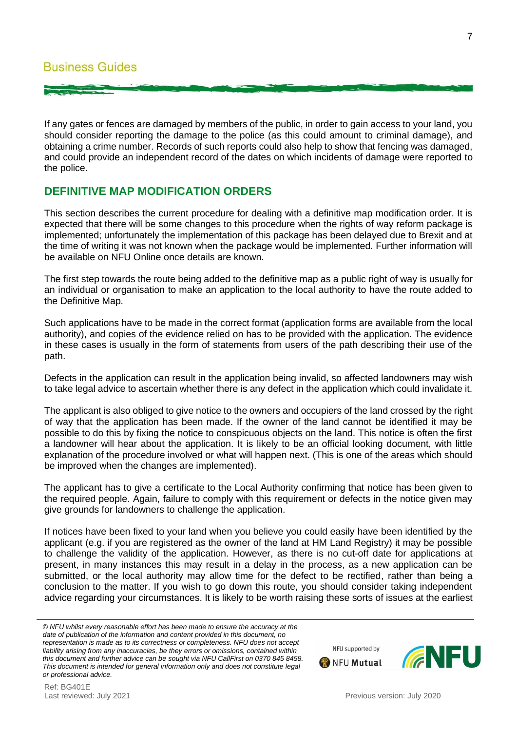If any gates or fences are damaged by members of the public, in order to gain access to your land, you should consider reporting the damage to the police (as this could amount to criminal damage), and obtaining a crime number. Records of such reports could also help to show that fencing was damaged, and could provide an independent record of the dates on which incidents of damage were reported to the police.

# **DEFINITIVE MAP MODIFICATION ORDERS**

This section describes the current procedure for dealing with a definitive map modification order. It is expected that there will be some changes to this procedure when the rights of way reform package is implemented; unfortunately the implementation of this package has been delayed due to Brexit and at the time of writing it was not known when the package would be implemented. Further information will be available on NFU Online once details are known.

The first step towards the route being added to the definitive map as a public right of way is usually for an individual or organisation to make an application to the local authority to have the route added to the Definitive Map.

Such applications have to be made in the correct format (application forms are available from the local authority), and copies of the evidence relied on has to be provided with the application. The evidence in these cases is usually in the form of statements from users of the path describing their use of the path.

Defects in the application can result in the application being invalid, so affected landowners may wish to take legal advice to ascertain whether there is any defect in the application which could invalidate it.

The applicant is also obliged to give notice to the owners and occupiers of the land crossed by the right of way that the application has been made. If the owner of the land cannot be identified it may be possible to do this by fixing the notice to conspicuous objects on the land. This notice is often the first a landowner will hear about the application. It is likely to be an official looking document, with little explanation of the procedure involved or what will happen next. (This is one of the areas which should be improved when the changes are implemented).

The applicant has to give a certificate to the Local Authority confirming that notice has been given to the required people. Again, failure to comply with this requirement or defects in the notice given may give grounds for landowners to challenge the application.

If notices have been fixed to your land when you believe you could easily have been identified by the applicant (e.g. if you are registered as the owner of the land at HM Land Registry) it may be possible to challenge the validity of the application. However, as there is no cut-off date for applications at present, in many instances this may result in a delay in the process, as a new application can be submitted, or the local authority may allow time for the defect to be rectified, rather than being a conclusion to the matter. If you wish to go down this route, you should consider taking independent advice regarding your circumstances. It is likely to be worth raising these sorts of issues at the earliest

Ref: BG401E<br>Last reviewed: July 2021



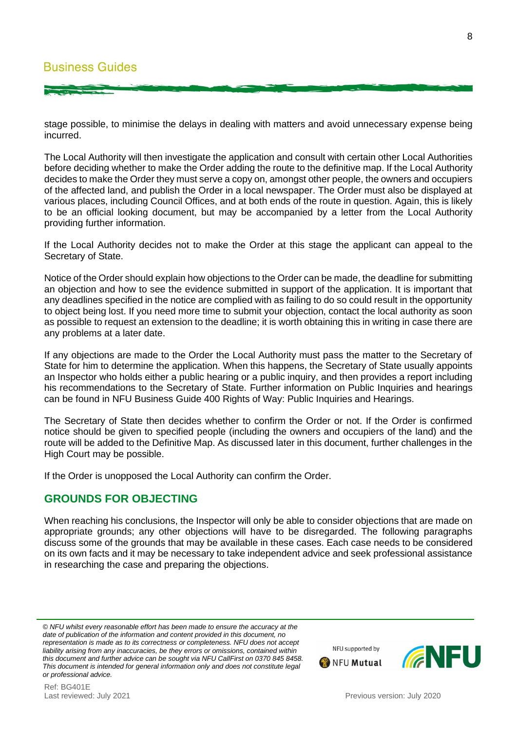stage possible, to minimise the delays in dealing with matters and avoid unnecessary expense being incurred.

The Local Authority will then investigate the application and consult with certain other Local Authorities before deciding whether to make the Order adding the route to the definitive map. If the Local Authority decides to make the Order they must serve a copy on, amongst other people, the owners and occupiers of the affected land, and publish the Order in a local newspaper. The Order must also be displayed at various places, including Council Offices, and at both ends of the route in question. Again, this is likely to be an official looking document, but may be accompanied by a letter from the Local Authority providing further information.

If the Local Authority decides not to make the Order at this stage the applicant can appeal to the Secretary of State.

Notice of the Order should explain how objections to the Order can be made, the deadline for submitting an objection and how to see the evidence submitted in support of the application. It is important that any deadlines specified in the notice are complied with as failing to do so could result in the opportunity to object being lost. If you need more time to submit your objection, contact the local authority as soon as possible to request an extension to the deadline; it is worth obtaining this in writing in case there are any problems at a later date.

If any objections are made to the Order the Local Authority must pass the matter to the Secretary of State for him to determine the application. When this happens, the Secretary of State usually appoints an Inspector who holds either a public hearing or a public inquiry, and then provides a report including his recommendations to the Secretary of State. Further information on Public Inquiries and hearings can be found in NFU Business Guide 400 Rights of Way: Public Inquiries and Hearings.

The Secretary of State then decides whether to confirm the Order or not. If the Order is confirmed notice should be given to specified people (including the owners and occupiers of the land) and the route will be added to the Definitive Map. As discussed later in this document, further challenges in the High Court may be possible.

If the Order is unopposed the Local Authority can confirm the Order.

# **GROUNDS FOR OBJECTING**

When reaching his conclusions, the Inspector will only be able to consider objections that are made on appropriate grounds; any other objections will have to be disregarded. The following paragraphs discuss some of the grounds that may be available in these cases. Each case needs to be considered on its own facts and it may be necessary to take independent advice and seek professional assistance in researching the case and preparing the objections.

*© NFU whilst every reasonable effort has been made to ensure the accuracy at the date of publication of the information and content provided in this document, no representation is made as to its correctness or completeness. NFU does not accept liability arising from any inaccuracies, be they errors or omissions, contained within this document and further advice can be sought via NFU CallFirst on 0370 845 8458. This document is intended for general information only and does not constitute legal or professional advice.*

Previous version: July 2020

NFU supported by

**WANFU Mutual** 

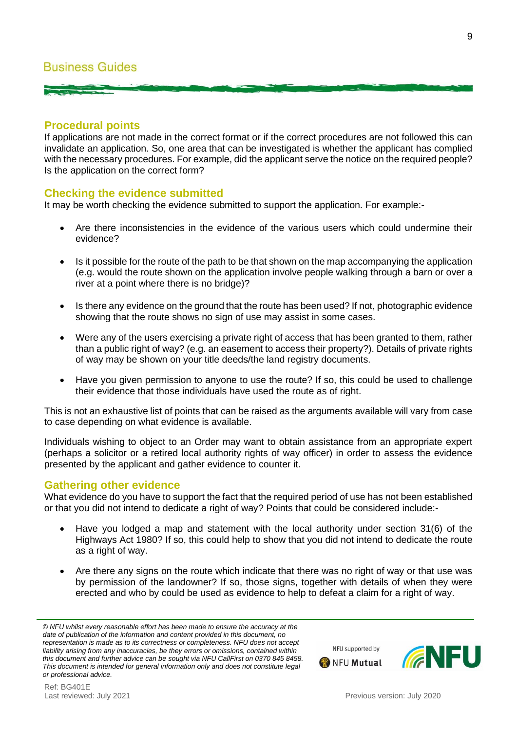# **Business Guides**

#### **Procedural points**

If applications are not made in the correct format or if the correct procedures are not followed this can invalidate an application. So, one area that can be investigated is whether the applicant has complied with the necessary procedures. For example, did the applicant serve the notice on the required people? Is the application on the correct form?

#### **Checking the evidence submitted**

It may be worth checking the evidence submitted to support the application. For example:-

- Are there inconsistencies in the evidence of the various users which could undermine their evidence?
- Is it possible for the route of the path to be that shown on the map accompanying the application (e.g. would the route shown on the application involve people walking through a barn or over a river at a point where there is no bridge)?
- Is there any evidence on the ground that the route has been used? If not, photographic evidence showing that the route shows no sign of use may assist in some cases.
- Were any of the users exercising a private right of access that has been granted to them, rather than a public right of way? (e.g. an easement to access their property?). Details of private rights of way may be shown on your title deeds/the land registry documents.
- Have you given permission to anyone to use the route? If so, this could be used to challenge their evidence that those individuals have used the route as of right.

This is not an exhaustive list of points that can be raised as the arguments available will vary from case to case depending on what evidence is available.

Individuals wishing to object to an Order may want to obtain assistance from an appropriate expert (perhaps a solicitor or a retired local authority rights of way officer) in order to assess the evidence presented by the applicant and gather evidence to counter it.

#### **Gathering other evidence**

What evidence do you have to support the fact that the required period of use has not been established or that you did not intend to dedicate a right of way? Points that could be considered include:-

- Have you lodged a map and statement with the local authority under section 31(6) of the Highways Act 1980? If so, this could help to show that you did not intend to dedicate the route as a right of way.
- Are there any signs on the route which indicate that there was no right of way or that use was by permission of the landowner? If so, those signs, together with details of when they were erected and who by could be used as evidence to help to defeat a claim for a right of way.

*<sup>©</sup> NFU whilst every reasonable effort has been made to ensure the accuracy at the date of publication of the information and content provided in this document, no representation is made as to its correctness or completeness. NFU does not accept liability arising from any inaccuracies, be they errors or omissions, contained within this document and further advice can be sought via NFU CallFirst on 0370 845 8458. This document is intended for general information only and does not constitute legal or professional advice.*

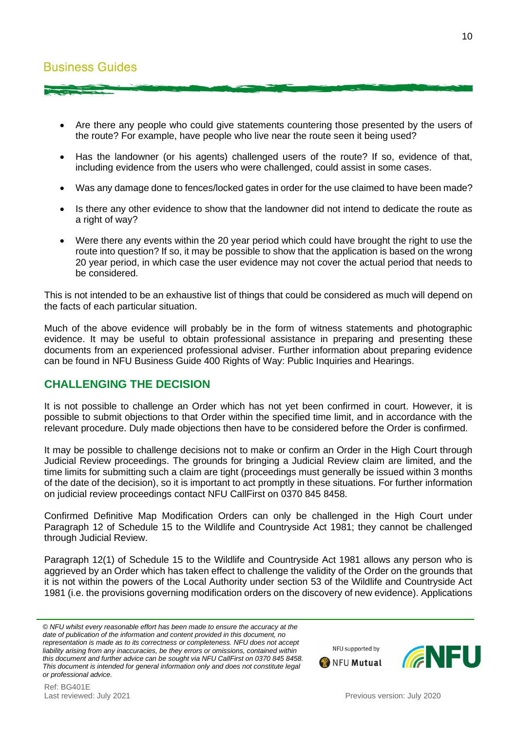- Are there any people who could give statements countering those presented by the users of the route? For example, have people who live near the route seen it being used?
- Has the landowner (or his agents) challenged users of the route? If so, evidence of that, including evidence from the users who were challenged, could assist in some cases.
- Was any damage done to fences/locked gates in order for the use claimed to have been made?
- Is there any other evidence to show that the landowner did not intend to dedicate the route as a right of way?
- Were there any events within the 20 year period which could have brought the right to use the route into question? If so, it may be possible to show that the application is based on the wrong 20 year period, in which case the user evidence may not cover the actual period that needs to be considered.

This is not intended to be an exhaustive list of things that could be considered as much will depend on the facts of each particular situation.

Much of the above evidence will probably be in the form of witness statements and photographic evidence. It may be useful to obtain professional assistance in preparing and presenting these documents from an experienced professional adviser. Further information about preparing evidence can be found in NFU Business Guide 400 Rights of Way: Public Inquiries and Hearings.

# **CHALLENGING THE DECISION**

It is not possible to challenge an Order which has not yet been confirmed in court. However, it is possible to submit objections to that Order within the specified time limit, and in accordance with the relevant procedure. Duly made objections then have to be considered before the Order is confirmed.

It may be possible to challenge decisions not to make or confirm an Order in the High Court through Judicial Review proceedings. The grounds for bringing a Judicial Review claim are limited, and the time limits for submitting such a claim are tight (proceedings must generally be issued within 3 months of the date of the decision), so it is important to act promptly in these situations. For further information on judicial review proceedings contact NFU CallFirst on 0370 845 8458.

Confirmed Definitive Map Modification Orders can only be challenged in the High Court under Paragraph 12 of Schedule 15 to the Wildlife and Countryside Act 1981; they cannot be challenged through Judicial Review.

Paragraph 12(1) of Schedule 15 to the Wildlife and Countryside Act 1981 allows any person who is aggrieved by an Order which has taken effect to challenge the validity of the Order on the grounds that it is not within the powers of the Local Authority under section 53 of the Wildlife and Countryside Act 1981 (i.e. the provisions governing modification orders on the discovery of new evidence). Applications



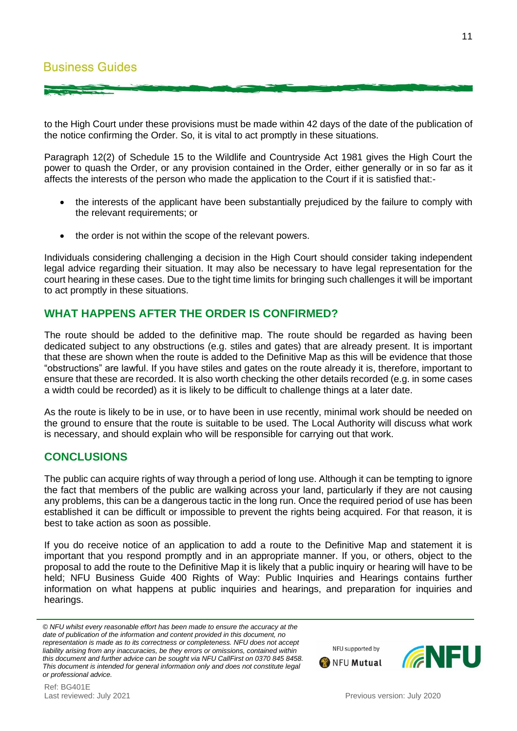to the High Court under these provisions must be made within 42 days of the date of the publication of the notice confirming the Order. So, it is vital to act promptly in these situations.

Paragraph 12(2) of Schedule 15 to the Wildlife and Countryside Act 1981 gives the High Court the power to quash the Order, or any provision contained in the Order, either generally or in so far as it affects the interests of the person who made the application to the Court if it is satisfied that:-

- the interests of the applicant have been substantially prejudiced by the failure to comply with the relevant requirements; or
- the order is not within the scope of the relevant powers.

Individuals considering challenging a decision in the High Court should consider taking independent legal advice regarding their situation. It may also be necessary to have legal representation for the court hearing in these cases. Due to the tight time limits for bringing such challenges it will be important to act promptly in these situations.

# **WHAT HAPPENS AFTER THE ORDER IS CONFIRMED?**

The route should be added to the definitive map. The route should be regarded as having been dedicated subject to any obstructions (e.g. stiles and gates) that are already present. It is important that these are shown when the route is added to the Definitive Map as this will be evidence that those "obstructions" are lawful. If you have stiles and gates on the route already it is, therefore, important to ensure that these are recorded. It is also worth checking the other details recorded (e.g. in some cases a width could be recorded) as it is likely to be difficult to challenge things at a later date.

As the route is likely to be in use, or to have been in use recently, minimal work should be needed on the ground to ensure that the route is suitable to be used. The Local Authority will discuss what work is necessary, and should explain who will be responsible for carrying out that work.

# **CONCLUSIONS**

Ref: BG401E

The public can acquire rights of way through a period of long use. Although it can be tempting to ignore the fact that members of the public are walking across your land, particularly if they are not causing any problems, this can be a dangerous tactic in the long run. Once the required period of use has been established it can be difficult or impossible to prevent the rights being acquired. For that reason, it is best to take action as soon as possible.

If you do receive notice of an application to add a route to the Definitive Map and statement it is important that you respond promptly and in an appropriate manner. If you, or others, object to the proposal to add the route to the Definitive Map it is likely that a public inquiry or hearing will have to be held; NFU Business Guide 400 Rights of Way: Public Inquiries and Hearings contains further information on what happens at public inquiries and hearings, and preparation for inquiries and hearings.



NFU supported by

**ONFU Mutual** 

*<sup>©</sup> NFU whilst every reasonable effort has been made to ensure the accuracy at the date of publication of the information and content provided in this document, no representation is made as to its correctness or completeness. NFU does not accept liability arising from any inaccuracies, be they errors or omissions, contained within this document and further advice can be sought via NFU CallFirst on 0370 845 8458. This document is intended for general information only and does not constitute legal or professional advice.*